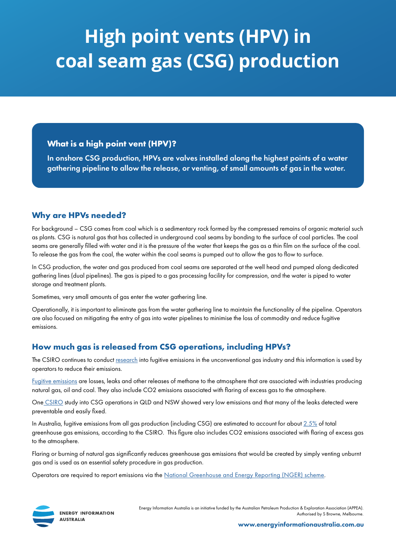# **High point vents (HPV) in coal seam gas (CSG) production**

# **What is a high point vent (HPV)?**

In onshore CSG production, HPVs are valves installed along the highest points of a water gathering pipeline to allow the release, or venting, of small amounts of gas in the water.

# **Why are HPVs needed?**

For background – CSG comes from coal which is a sedimentary rock formed by the compressed remains of organic material such as plants. CSG is natural gas that has collected in underground coal seams by bonding to the surface of coal particles. The coal seams are generally filled with water and it is the pressure of the water that keeps the gas as a thin film on the surface of the coal. To release the gas from the coal, the water within the coal seams is pumped out to allow the gas to flow to surface.

In CSG production, the water and gas produced from coal seams are separated at the well head and pumped along dedicated gathering lines (dual pipelines). The gas is piped to a gas processing facility for compression, and the water is piped to water storage and treatment plants.

Sometimes, very small amounts of gas enter the water gathering line.

Operationally, it is important to eliminate gas from the water gathering line to maintain the functionality of the pipeline. Operators are also focused on mitigating the entry of gas into water pipelines to minimise the loss of commodity and reduce fugitive emissions.

# **How much gas is released from CSG operations, including HPVs?**

The CSIRO continues to conduct [research](https://www.csiro.au/~/media/EF/Files/Fugitive-methane-emissions-from-unconventional-gas-2017-05.pdf) into fugitive emissions in the unconventional gas industry and this information is used by operators to reduce their emissions.

[Fugitive emissions](https://www.csiro.au/~/media/EF/Files/Fugitive-methane-emissions-from-unconventional-gas-2017-05.pdf) are losses, leaks and other releases of methane to the atmosphere that are associated with industries producing natural gas, oil and coal. They also include CO2 emissions associated with flaring of excess gas to the atmosphere.

On[e CSIRO](https://www.csiro.au/en/Research/EF/Areas/Oil-and-gas/Onshore-gas/Coal-seam-gas-fugitives) study into CSG operations in QLD and NSW showed very low emissions and that many of the leaks detected were preventable and easily fixed.

In Australia, fugitive emissions from all gas production (including CSG) are estimated to account for about  $2.5\%$  of total greenhouse gas emissions, according to the CSIRO. This figure also includes CO2 emissions associated with flaring of excess gas to the atmosphere.

Flaring or burning of natural gas significantly reduces greenhouse gas emissions that would be created by simply venting unburnt gas and is used as an essential safety procedure in gas production.

Operators are required to report emissions via the [National Greenhouse and Energy Reporting \(NGER\) scheme](http://www.cleanenergyregulator.gov.au/NGER/About-the-National-Greenhouse-and-Energy-Reporting-scheme#n1).



**ENERGY INFORMATION AUSTRALIA** 

Energy Information Australia is an initiative funded by the Australian Petroleum Production & Exploration Association (APPEA). Authorised by S Browne, Melbourne.